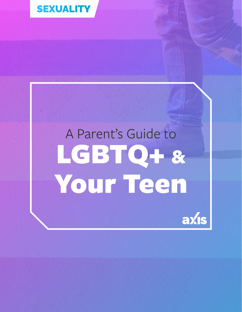

# A Parent's Guide to LGBTQ+ & Your Teen

axis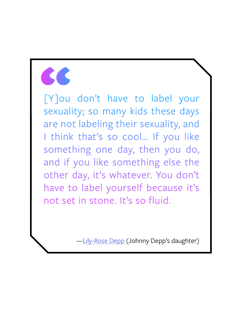EN DU

[Y]ou don't have to label your sexuality; so many kids these days are not labeling their sexuality, and I think that's so cool... If you like something one day, then you do, and if you like something else the other day, it's whatever. You don't have to label yourself because it's not set in stone. It's so fluid.

[—Lily-Rose Depp](https://www.independent.co.uk/news/people/lily-rose-depp-clarifies-comments-about-her-sexuality-a6853151.html) (Johnny Depp's daughter)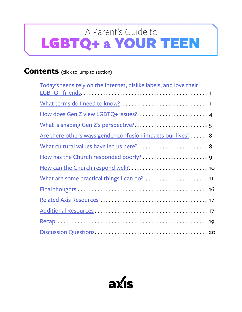### <span id="page-2-0"></span>**Contents** (click to jump to section)

| Today's teens rely on the Internet, dislike labels, and love their |  |
|--------------------------------------------------------------------|--|
|                                                                    |  |
|                                                                    |  |
| How does Gen Z view LGBTQ+ issues? 4                               |  |
|                                                                    |  |
| Are there others ways gender confusion impacts our lives?  8       |  |
| What cultural values have led us here? 8                           |  |
|                                                                    |  |
|                                                                    |  |
|                                                                    |  |
|                                                                    |  |
|                                                                    |  |
|                                                                    |  |
|                                                                    |  |
|                                                                    |  |

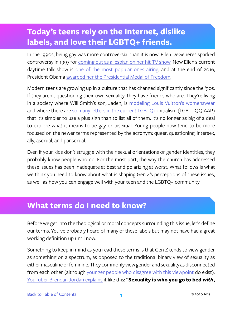# <span id="page-3-0"></span>**Today's teens rely on the Internet, dislike labels, and love their LGBTQ+ friends.**

In the 1990s, being gay was more controversial than it is now. Ellen DeGeneres sparked controversy in 1997 for [coming out as a lesbian on her hit TV show.](https://abcnews.go.com/Entertainment/PersonOfWeek/ellen-degeneres-reflects-coming-episode-declaring-gay-15/story) Now Ellen's current daytime talk show is [one of the most popular ones airing,](https://www.csmonitor.com/The-Culture/TV/2017/0119/Ellen-DeGeneres-popularity-demonstrated-with-a-record-number-of-People-s-Choice-Awards) and at the end of 2016, President Obama [awarded her the Presidential Medal of Freedom](http://fortune.com/2016/11/23/obama-ellen-degeneres-medal/).

Modern teens are growing up in a culture that has changed significantly since the '90s. If they aren't questioning their own sexuality, they have friends who are. They're living in a society where Will Smith's son, Jaden, is [modeling Louis Vuitton's womenswear](https://www.nytimes.com/2016/01/07/fashion/jaden-smith-for-louis-vuitton-the-new-man-in-a-skirt.html) and where there are [so many letters in the current LGBTQ](https://decahedronofq.wordpress.com/what-is-lgbtqqiaap/)+ initialism (LGBTTQQIAAP) that it's simpler to use a plus sign than to list all of them. It's no longer as big of a deal to explore what it means to be gay or bisexual. Young people now tend to be more focused on the newer terms represented by the acronym: queer, questioning, intersex, ally, asexual, and pansexual.

Even if your kids don't struggle with their sexual orientations or gender identities, they probably know people who do. For the most part, the way the church has addressed these issues has been inadequate at best and polarizing at worst. What follows is what we think you need to know about what is shaping Gen Z's perceptions of these issues, as well as how you can engage well with your teen and the LGBTQ+ community.

### **What terms do I need to know?**

Before we get into the theological or moral concepts surrounding this issue, let's define our terms. You've probably heard of many of these labels but may not have had a great working definition up until now.

Something to keep in mind as you read these terms is that Gen Z tends to view gender as something on a spectrum, as opposed to the traditional binary view of sexuality as either masculine or feminine. They commonly view gender and sexuality as disconnected from each other (although [younger people who disagree with this viewpoint](https://www.youtube.com/watch?v=69QBODgzJI8) do exist). [YouTuber Brendan Jordan explains](https://www.cbsnews.com/news/the-difference-between-sexual-orientation-and-gender-identity/) it like this: "**Sexuality is who you go to bed** *with***,**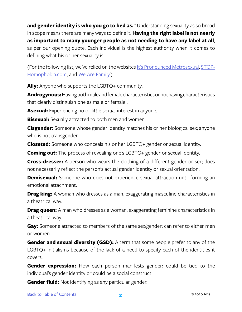**and gender identity is who you go to bed** *as***.**" Understanding sexuality as so broad in scope means there are many ways to define it. **Having the right label is not nearly as important to many younger people as not needing to have any label at all**, as per our opening quote. Each individual is the highest authority when it comes to defining what his or her sexuality is.

(For the following list, we've relied on the websites [It's Pronounced Metrosexual](http://itspronouncedmetrosexual.com/2013/01/a-comprehensive-list-of-lgbtq-term-definitions/), [STOP-](http://www.stop-homophobia.com/lgbt-terms-and-definitions)[Homophobia.com,](http://www.stop-homophobia.com/lgbt-terms-and-definitions) and [We Are Family.](http://www.wearefamilycharleston.org/lgbt-a-z-glossary/))

**Ally:** Anyone who supports the LGBTQ+ community.

**Androgynous:** Having both male and female characteristics or not having characteristics that clearly distinguish one as male or female .

**Asexual:** Experiencing no or little sexual interest in anyone.

**Bisexual:** Sexually attracted to both men and women.

**Cisgender:** Someone whose gender identity matches his or her biological sex; anyone who is not transgender.

**Closeted:** Someone who conceals his or her LGBTQ+ gender or sexual identity.

**Coming out:** The process of revealing one's LGBTQ+ gender or sexual identity.

**Cross-dresser:** A person who wears the clothing of a different gender or sex; does not necessarily reflect the person's actual gender identity or sexual orientation.

**Demisexual:** Someone who does not experience sexual attraction until forming an emotional attachment.

**Drag king:** A woman who dresses as a man, exaggerating masculine characteristics in a theatrical way.

**Drag queen:** A man who dresses as a woman, exaggerating feminine characteristics in a theatrical way.

**Gay:** Someone attracted to members of the same sex/gender; can refer to either men or women.

**Gender and sexual diversity (GSD):** A term that some people prefer to any of the LGBTQ+ initialisms because of the lack of a need to specify each of the identities it covers.

**Gender expression:** How each person manifests gender; could be tied to the individual's gender identity or could be a social construct.

**Gender fluid:** Not identifying as any particular gender.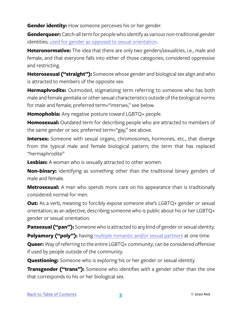**Gender identity:** How someone perceives his or her gender.

**Genderqueer:** Catch-all term for people who identify as various non-traditional gender identities; [used for gender as opposed to sexual orientation](https://www.washingtonpost.com/lifestyle/style/dont-know-what-genderqueer-is-meet-someone-who-identifies-that-way/2016/05/06/aa59780e-1398-11e6-8967-7ac733c56f12_story.html?utm_term=.07d8ff542146).

**Heteronormative:** The idea that there are only two genders/sexualities, i.e., male and female, and that everyone falls into either of those categories; considered oppressive and restricting.

**Heterosexual ("straight"):** Someone whose gender and biological sex align and who is attracted to members of the opposite sex.

**Hermaphrodite:** Outmoded, stigmatizing term referring to someone who has both male and female genitalia or other sexual characteristics outside of the biological norms for male and female; preferred term="intersex," see below.

**Homophobia:** Any negative posture toward LGBTQ+ people.

**Homosexual:** Outdated term for describing people who are attracted to members of the same gender or sex; preferred term="gay," see above.

**Intersex:** Someone with sexual organs, chromosomes, hormones, etc., that diverge from the typical male and female biological pattern; the term that has replaced "hermaphrodite"

**Lesbian:** A woman who is sexually attracted to other women.

**Non-binary:** Identifying as something other than the traditional binary genders of male and female.

**Metrosexual:** A man who spends more care on his appearance than is traditionally considered normal for men.

**Out:** As a verb, meaning to forcibly expose someone else's LGBTQ+ gender or sexual orientation; as an adjective, describing someone who is public about his or her LGBTQ+ gender or sexual orientation.

**Pansexual ("pan"):** Someone who is attracted to any kind of gender or sexual identity.

**Polyamory ("poly"):** having [multiple romantic and/or sexual partners](https://www.glamour.com/story/7-polyamory-myths-its-time-to-stop-believing) at one time.

**Queer:** Way of referring to the entire LGBTQ+ community; can be considered offensive if used by people outside of the community.

**Questioning:** Someone who is exploring his or her gender or sexual identity.

**Transgender ("trans"):** Someone who identifies with a gender other than the one that corresponds to his or her biological sex.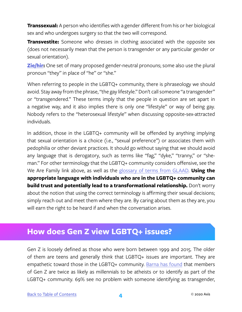<span id="page-6-0"></span>**Transsexual:** A person who identifies with a gender different from his or her biological sex and who undergoes surgery so that the two will correspond.

**Transvestite:** Someone who dresses in clothing associated with the opposite sex (does not necessarily mean that the person is transgender or any particular gender or sexual orientation).

**[Zie/hir:](https://lbgtrc.msu.edu/educational-resources/pronouns/)** One set of many proposed gender-neutral pronouns; some also use the plural pronoun "they" in place of "he" or "she."

When referring to people in the LGBTQ+ community, there is phraseology we should avoid. Stay away from the phrase, "the gay lifestyle." Don't call someone "a transgender" or "transgendered." These terms imply that the people in question are set apart in a negative way, and it also implies there is only one "lifestyle" or way of being gay. Nobody refers to the "heterosexual lifestyle" when discussing opposite-sex-attracted individuals.

In addition, those in the LGBTQ+ community will be offended by anything implying that sexual orientation is a choice (i.e., "sexual preference") or associates them with pedophilia or other deviant practices. It should go without saying that we should avoid any language that is derogatory, such as terms like "fag," "dyke," "tranny," or "sheman." For other terminology that the LGBTQ+ community considers offensive, see the We Are Family link above, as well as the [glossary of terms from GLAAD.](https://www.glaad.org/reference/lgbtq) **Using the appropriate language with individuals who are in the LGBTQ+ community can build trust and potentially lead to a transformational relationship.** Don't worry about the notion that using the correct terminology is affirming their sexual decisions; simply reach out and meet them where they are. By caring about them as they are, you will earn the right to be heard if and when the conversation arises.

# **How does Gen Z view LGBTQ+ issues?**

Gen Z is loosely defined as those who were born between 1999 and 2015. The older of them are teens and generally think that LGBTQ+ issues are important. They are empathetic toward those in the LGBTQ+ community. [Barna has found](https://www.christianitytoday.com/news/2018/january/youth-group-leaders-generation-z-atheist-lgbt-teens-barna.html) that members of Gen Z are twice as likely as millennials to be atheists or to identify as part of the LGBTQ+ community. 69% see no problem with someone identifying as transgender,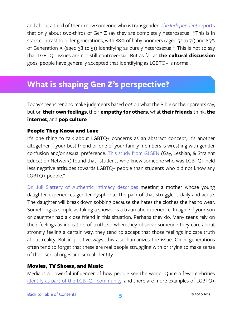<span id="page-7-0"></span>and about a third of them know someone who is transgender. *[The Independent](https://www.independent.co.uk/life-style/opposite-sex-only-attracted-young-people-16-to-22-heterosexual-bi-lgbt-a7969876.html)* reports that only about two-thirds of Gen Z say they are completely heterosexual: "This is in stark contrast to older generations, with 88% of baby boomers (aged 52 to 71) and 85% of Generation X (aged 38 to 51) identifying as purely heterosexual." This is not to say that LGBTQ+ issues are not still controversial. But as far as **the cultural discussion** goes, people have generally accepted that identifying as LGBTQ+ is normal.

# **What is shaping Gen Z's perspective?**

Today's teens tend to make judgments based *not* on what the Bible or their parents say, but on **their own feelings**, their **empathy for others**, what **their friends** think, **the internet**, and **pop culture**.

#### People They Know and Love

It's one thing to talk about LGBTQ+ concerns as an abstract concept, it's another altogether if your best friend or one of your family members is wrestling with gender confusion and/or sexual preference. [This study from GLSEN](https://www.glsen.org/sites/default/files/TeasingtoTorment%202015%20FINAL%20PDF%5B1%5D_0.pdf) (Gay, Lesbian, & Straight Education Network) found that "students who knew someone who was LGBTQ+ held less negative attitudes towards LGBTQ+ people than students who did not know any LGBTQ+ people."

[Dr. Juli Slattery of Authentic Intimacy describes](https://www.authenticintimacy.com/resources/8029/200-listening-so-people-will-talk) meeting a mother whose young daughter experiences gender dysphoria. The pain of that struggle is daily and acute. The daughter will break down sobbing because she hates the clothes she has to wear. Something as simple as taking a shower is a traumatic experience. Imagine if your son or daughter had a close friend in this situation. Perhaps they do. Many teens rely on their feelings as indicators of truth, so when they observe someone they care about strongly feeling a certain way, they tend to accept that those feelings indicate truth about reality. But in positive ways, this also humanizes the issue. Older generations often tend to forget that these are real people struggling with or trying to make sense of their sexual urges and sexual identity.

#### Movies, TV Shows, and Music

Media is a powerful influencer of how people see the world. Quite a few celebrities [identify as part of the LGBTQ+ community](https://www.refinery29.com/ruby-rose-urban-decay-vice-lipstick-interview), and there are more examples of LGBTQ+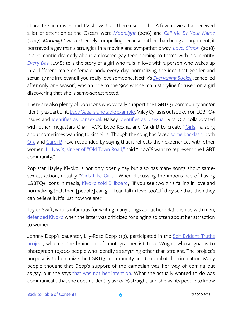characters in movies and TV shows than there used to be. A few movies that received a lot of attention at the Oscars were *[Moonlight](https://www.youtube.com/watch?v=9NJj12tJzqc)* (2016) and *[Call Me By Your Name](https://www.youtube.com/watch?v=Z9AYPxH5NTM)* (2017). *Moonlight* was extremely compelling because, rather than being an argument, it portrayed a gay man's struggles in a moving and sympathetic way. *[Love, Simon](https://www.youtube.com/watch?v=5pWTkeOK25Q)* (2018) is a romantic dramedy about a closeted gay teen coming to terms with his identity. *[Every Day](https://www.youtube.com/watch?v=tqoAMfe_rPM)* (2018) tells the story of a girl who falls in love with a person who wakes up in a different male or female body every day, normalizing the idea that gender and sexuality are irrelevant if you really love someone. Netflix's *[Everything Sucks!](https://www.youtube.com/watch?v=hf_YjzEvYeQ)* (cancelled after only one season) was an ode to the '90s whose main storyline focused on a girl discovering that she is same-sex attracted.

There are also plenty of pop icons who vocally support the LGBTQ+ community and/or identify as part of it. [Lady Gaga is a notable example](https://www.huffingtonpost.com/entry/lady-gaga-joanne-tour-lgbtq_us_598227dae4b0fa1575fbc0b5). Miley Cyrus is outspoken on LGBTQ+ issues and [identifies as pansexual](https://www.highsnobiety.com/2017/06/30/miley-cyrus-lgbt/). Halsey [identifies as bisexual.](https://www.teenvogue.com/story/halsey-debunks-myth-about-bisexuality-on-twitter) Rita Ora collaborated with other megastars Charli XCX, Bebe Rexha, and Cardi B to create ["Girls](https://genius.com/Rita-ora-girls-lyrics)," a song about sometimes wanting to kiss girls. Though the song has faced [some backlash](http://www.vulture.com/2018/05/hayley-kiyoko-takes-issue-with-rita-oras-new-song-girls.html), both [Ora](https://twitter.com/RitaOra/status/996056537733959680/photo/1?ref_src=twsrc%5Etfw&ref_url=http%3A%2F%2Fwww.vulture.com%2F2018%2F05%2Fhayley-kiyoko-takes-issue-with-rita-oras-new-song-girls.html) and [Cardi B](https://twitter.com/iamcardib/status/996411830913421314?lang=en) have responded by saying that it reflects their experiences with other women. [Lil Nas X, singer of "Old Town Road,"](https://www.theguardian.com/music/2020/apr/04/lil-nas-x-i-100-want-to-represent-the-lgbt-community) said "I 100% want to represent the LGBT community."

Pop star Hayley Kiyoko is not only openly gay but also has many songs about same-sex attraction, notably ["Girls Like Girls](https://www.youtube.com/watch?v=I0MT8SwNa_U)." When discussing the importance of having LGBTQ+ icons in media, [Kiyoko told Billboard,](https://www.billboard.com/articles/columns/pop/8235955/hayley-kiyoko-interview-expectations-sexuality) "If you see two girls falling in love and normalizing that, then [people] can go, 'I can fall in love, too'…If they see that, then they can believe it. It's just how we are."

Taylor Swift, who is infamous for writing many songs about her relationships with men, [defended Kiyoko](https://www.pinknews.co.uk/2018/04/01/taylor-swift-addresses-homophobia-in-the-music-industry-after-hayley-kiyoko-comments/) when the latter was criticized for singing so often about her attraction to women.

Johnny Depp's daughter, Lily-Rose Depp (19), participated in the [Self Evident Truths](http://www.selfevidentproject.com/about)  [project,](http://www.selfevidentproject.com/about) which is the brainchild of photographer iO Tillet Wright, whose goal is to photograph 10,000 people who identify as anything other than straight. The project's purpose is to humanize the LGBTQ+ community and to combat discrimination. Many people thought that Depp's support of the campaign was her way of coming out as gay, but she says [that was not her intention.](https://www.independent.co.uk/news/people/lily-rose-depp-clarifies-comments-about-her-sexuality-a6853151.html) What she actually wanted to do was communicate that she doesn't identify as 100% straight, and she wants people to know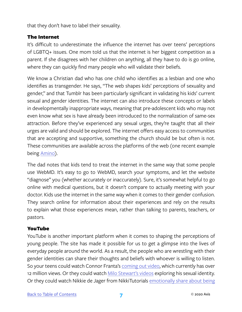that they don't have to label their sexuality.

#### The Internet

It's difficult to underestimate the influence the internet has over teens' perceptions of LGBTQ+ issues. One mom told us that the internet is her biggest competition as a parent. If she disagrees with her children on anything, all they have to do is go online, where they can quickly find many people who will validate their beliefs.

We know a Christian dad who has one child who identifies as a lesbian and one who identifies as transgender. He says, "The web shapes kids' perceptions of sexuality and gender," and that Tumblr has been particularly significant in validating his kids' current sexual and gender identities. The internet can also introduce these concepts or labels in developmentally inappropriate ways, meaning that pre-adolescent kids who may not even know what sex is have already been introduced to the normalization of same-sex attraction. Before they've experienced any sexual urges, they're taught that all their urges are valid and should be explored. The internet offers easy access to communities that are accepting and supportive, something the church should be but often is not. These communities are available across the platforms of the web (one recent example being [Amino\)](https://aminoapps.com/).

The dad notes that kids tend to treat the internet in the same way that some people use WebMD. It's easy to go to WebMD, search your symptoms, and let the website "diagnose" you (whether accurately or inaccurately). Sure, it's somewhat helpful to go online with medical questions, but it doesn't compare to actually meeting with your doctor. Kids use the internet in the same way when it comes to their gender confusion. They search online for information about their experiences and rely on the results to explain what those experiences mean, rather than talking to parents, teachers, or pastors.

#### YouTube

YouTube is another important platform when it comes to shaping the perceptions of young people. The site has made it possible for us to get a glimpse into the lives of everyday people around the world. As a result, the people who are wrestling with their gender identities can share their thoughts and beliefs with whoever is willing to listen. So your teens could watch Connor Franta's [coming out video,](https://www.youtube.com/watch?v=WYodBfRxKWI&t=315s) which currently has over 12 million views. Or they could watch [Milo Stewart's videos](https://www.youtube.com/user/RoryDeganRepresent) exploring his sexual identity. Or they could watch Nikkie de Jager from NikkiTutorials emotionally share about being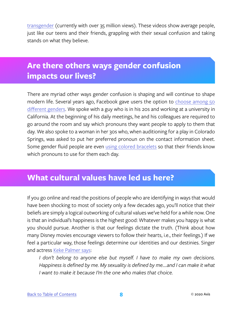<span id="page-10-0"></span>[transgender](https://www.youtube.com/watch?v=QOOw2E_qAsE&feature=youtu.be) (currently with over 35 million views). These videos show average people, just like our teens and their friends, grappling with their sexual confusion and taking stands on what they believe.

# **Are there others ways gender confusion impacts our lives?**

There are myriad other ways gender confusion is shaping and will continue to shape modern life. Several years ago, Facebook gave users the option to [choose among 50](https://www.lifewire.com/edit-gender-identity-status-on-facebook-2654421) [different genders.](https://www.lifewire.com/edit-gender-identity-status-on-facebook-2654421) We spoke with a guy who is in his 20s and working at a university in California. At the beginning of his daily meetings, he and his colleagues are required to go around the room and say which pronouns they want people to apply to them that day. We also spoke to a woman in her 30s who, when auditioning for a play in Colorado Springs, was asked to put her preferred pronoun on the contact information sheet. Some gender fluid people are even [using colored bracelets](https://www.instagram.com/p/BSjXnl0APK9/?tagged=genderbracelets) so that their friends know which pronouns to use for them each day.

# **What cultural values have led us here?**

If you go online and read the positions of people who are identifying in ways that would have been shocking to most of society only a few decades ago, you'll notice that their beliefs are simply a logical outworking of cultural values we've held for a while now. One is that an individual's happiness is the highest good: Whatever makes you happy is what you should pursue. Another is that our feelings dictate the truth. (Think about how many Disney movies encourage viewers to follow their hearts, i.e., their feelings.) If we feel a particular way, those feelings determine our identities and our destinies. Singer and actress [Keke Palmer says](https://www.teenvogue.com/gallery/10-celebs-openly-discuss-their-sexuality#3):

*I don't belong to anyone else but myself. I have to make my own decisions. Happiness is defined by me. My sexuality is defined by me....and I can make it what I want to make it because I'm the one who makes that choice.*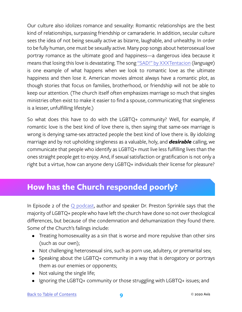<span id="page-11-0"></span>Our culture also idolizes romance and sexuality: Romantic relationships are the best kind of relationships, surpassing friendship or camaraderie. In addition, secular culture sees the idea of not being sexually active as bizarre, laughable, and unhealthy. In order to be fully human, one must be sexually active. Many pop songs about heterosexual love portray romance as the ultimate good and happiness—a dangerous idea because it means that losing this love is devastating. The song ["SAD!" by XXXTentacion](https://www.youtube.com/watch?v=pgN-vvVVxMA) (*language*) is one example of what happens when we look to romantic love as the ultimate happiness and then lose it. American movies almost always have a romantic plot, as though stories that focus on families, brotherhood, or friendship will not be able to keep our attention. (The church itself often emphasizes marriage so much that singles ministries often exist to make it easier to find a spouse, communicating that singleness is a lesser, unfulfilling lifestyle.)

So what does this have to do with the LGBTQ+ community? Well, for example, if romantic love is the best kind of love there is, then saying that same-sex marriage is wrong is denying same-sex attracted people the best kind of love there is. By idolizing marriage and by not upholding singleness as a valuable, holy, and *desirable* calling, we communicate that people who identify as LGBTQ+ must live less fulfilling lives than the ones straight people get to enjoy. And, if sexual satisfaction or gratification is not only a right but a virtue, how can anyone deny LGBTQ+ individuals their license for pleasure?

# **How has the Church responded poorly?**

In Episode 2 of the  $\overline{Q}$  podcast, author and speaker Dr. Preston Sprinkle says that the majority of LGBTQ+ people who have left the church have done so not over theological differences, but because of the condemnation and dehumanization they found there. Some of the Church's failings include:

- Treating homosexuality as a sin that is worse and more repulsive than other sins (such as our own);
- Not challenging heterosexual sins, such as porn use, adultery, or premarital sex;
- Speaking about the LGBTQ+ community in a way that is derogatory or portrays them as our enemies or opponents;
- Not valuing the single life;
- Ignoring the LGBTQ+ community or those struggling with LGBTQ+ issues; and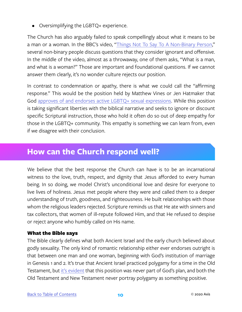<span id="page-12-0"></span>• Oversimplifying the LGBTQ+ experience.

The Church has also arguably failed to speak compellingly about what it means to be a man or a woman. In the BBC's video, "[Things Not To Say To A Non-Binary Person,](https://www.youtube.com/watch?v=8b4MZjMVgdk)" several non-binary people discuss questions that they consider ignorant and offensive. In the middle of the video, almost as a throwaway, one of them asks, "What is a man, and what is a woman?" Those are important and foundational questions. If we cannot answer them clearly, it's no wonder culture rejects our position.

In contrast to condemnation or apathy, there is what we could call the "affirming response." This would be the position held by Matthew Vines or Jen Hatmaker that God [approves of and endorses active LGBTQ+ sexual expressions](https://religionnews.com/2016/10/25/the-politics-of-jen-hatmaker-trump-black-lives-matter-gay-marriage-and-more/). While this position is taking significant liberties with the biblical narrative and seeks to ignore or discount specific Scriptural instruction, those who hold it often do so out of deep empathy for those in the LGBTQ+ community. This empathy is something we can learn from, even if we disagree with their conclusion.

## **How can the Church respond well?**

We believe that the best response the Church can have is to be an incarnational witness to the love, truth, respect, and dignity that Jesus afforded to every human being. In so doing, we model Christ's unconditional love and desire for everyone to live lives of holiness. Jesus met people where they were and called them to a deeper understanding of truth, goodness, and righteousness. He built relationships with those whom the religious leaders rejected. Scripture reminds us that He ate with sinners and tax collectors, that women of ill-repute followed Him, and that He refused to despise or reject anyone who humbly called on His name.

#### What the Bible says

The Bible clearly defines what both Ancient Israel and the early church believed about godly sexuality. The only kind of romantic relationship either ever endorses outright is that between one man and one woman, beginning with God's institution of marriage in Genesis 1 and 2. It's true that Ancient Israel practiced polygamy for a time in the Old Testament, but [it's evident](https://www.uncoveringintimacy.com/when-did-god-stop-allowing-multiple-wives/) that this position was never part of God's plan, and both the Old Testament and New Testament never portray polygamy as something positive.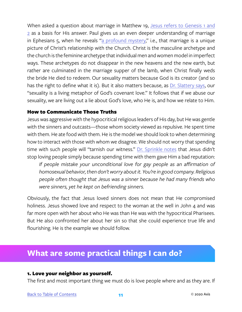<span id="page-13-0"></span>When asked a question about marriage in Matthew 19, [Jesus refers to Genesis 1 and](https://www.biblegateway.com/passage/?search=matt+19&version=NIV) [2](https://www.biblegateway.com/passage/?search=matt+19&version=NIV) as a basis for His answer. Paul gives us an even deeper understanding of marriage in Ephesians 5, when he reveals ["a profound mystery](https://www.biblegateway.com/passage/?search=eph+5&version=NIV)," i.e., that marriage is a unique picture of Christ's relationship with the Church. Christ is the masculine archetype and the church is the feminine archetype that individual men and women model in imperfect ways. These archetypes do not disappear in the new heavens and the new earth, but rather are culminated in the marriage supper of the lamb, when Christ finally weds the bride He died to redeem. Our sexuality matters because God is its creator (and so has the right to define what it is). But it also matters because, as [Dr. Slattery says](https://www.amazon.com/Rethinking-Sexuality-Gods-Design-Matters/dp/0735291470), our "sexuality is a living metaphor of God's covenant love." It follows that if we abuse our sexuality, we are living out a lie about God's love, who He is, and how we relate to Him.

#### How to Communicate Those Truths

Jesus was aggressive with the hypocritical religious leaders of His day, but He was gentle with the sinners and outcasts—those whom society viewed as repulsive. He spent time with them. He ate food with them. He is the model we should look to when determining how to interact with those with whom we disagree. We should not worry that spending time with such people will "tarnish our witness." [Dr. Sprinkle notes](https://www.prestonsprinkle.com/blogs/theologyintheraw/2015/12/put-homophobia-to-death) that Jesus didn't stop loving people simply because spending time with them gave Him a bad reputation: *If people mistake your unconditional love for gay people as an affirmation of* 

*homosexual behavior, then don't worry about it. You're in good company. Religious people often thought that Jesus was a sinner because he had many friends who were sinners, yet he kept on befriending sinners.* 

Obviously, the fact that Jesus loved sinners does not mean that He compromised holiness. Jesus showed love and respect to the woman at the well in John 4 and was far more open with her about who He was than He was with the hypocritical Pharisees. But He also confronted her about her sin so that she could experience true life and flourishing. He is the example we should follow.

# **What are some practical things I can do?**

#### 1. Love your neighbor as yourself.

The first and most important thing we must do is love people where and as they are. If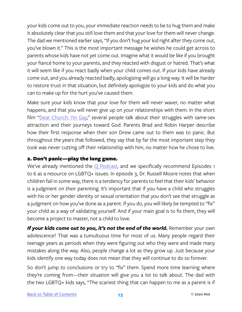your kids come out to you, your immediate reaction needs to be to hug them and make it absolutely clear that you still love them and that your love for them will never change. The dad we mentioned earlier says, "If you don't hug your kid right after they come out, you've blown it." This is the most important message he wishes he could get across to parents whose kids have not yet come out. Imagine what it would be like if you brought your fiancé home to your parents, and they reacted with disgust or hatred. That's what it will seem like if you react badly when your child comes out. If your kids have already come out, and you already reacted badly, apologizing will go a long way. It will be harder to restore trust in that situation, but definitely apologize to your kids and do what you can to make up for the hurt you've caused them.

Make sure your kids know that your love for them will never waver, no matter what happens, and that you will never give up on your relationships with them. In the short film "[Dear Church: I'm Gay,](https://vimeo.com/231166638)" several people talk about their struggles with same-sex attraction and their journeys toward God. Parents Brad and Robin Harper describe how their first response when their son Drew came out to them was to panic. But throughout the years that followed, they say that by far the most important step they took was never cutting off their relationship with him, no matter how he chose to live.

#### 2. Don't panic—play the long game.

We've already mentioned the  $Q$  Podcast, and we specifically recommend Episodes 1 to 6 as a resource on LGBTQ+ issues. In episode 3, Dr. Russell Moore notes that when children fail in some way, there is a tendency for parents to feel that their kids' behavior is a judgment on their parenting. It's important that if you have a child who struggles with his or her gender identity or sexual orientation that you don't see that struggle as a judgment on how you've done as a parent. If you do, you will likely be tempted to "fix" your child as a way of validating yourself. And if your main goal is to fix them, they will become a project to master, not a child to love.

*If your kids come out to you, it's not the end of the world. Remember your own* adolescence? That was a tumultuous time for most of us. Many people regard their teenage years as periods when they were figuring out who they were and made many mistakes along the way. Also, people change a lot as they grow up. Just because your kids identify one way today does not mean that they will continue to do so forever.

So don't jump to conclusions or try to "fix" them. Spend more time learning where they're coming from—their situation will give you a lot to talk about. The dad with the two LGBTQ+ kids says, "The scariest thing that can happen to me as a parent is if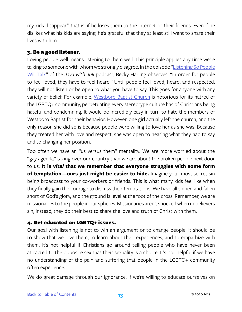my kids disappear," that is, if he loses them to the internet or their friends. Even if he dislikes what his kids are saying, he's grateful that they at least still want to share their lives with him.

#### 3. Be a good listener.

Loving people well means listening to them well. This principle applies any time we're talking to someone with whom we strongly disagree. In the episode "[Listening So People](https://www.authenticintimacy.com/resources/8029/200-listening-so-people-will-talk) [Will Talk](https://www.authenticintimacy.com/resources/8029/200-listening-so-people-will-talk)" of the *Java with Juli* podcast, Becky Harling observes, "In order for people to feel loved, they have to feel heard." Until people feel loved, heard, and respected, they will not listen or be open to what you have to say. This goes for anyone with any variety of belief. For example, [Westboro Baptist Church](https://en.wikipedia.org/wiki/Westboro_Baptist_Church) is notorious for its hatred of the LGBTQ+ community, perpetuating every stereotype culture has of Christians being hateful and condemning. It would be incredibly easy in turn to hate the members of Westboro Baptist for their behavior. However, one girl actually left the church, and the only reason she did so is because people were willing to love her as she was. Because they treated her with love and respect, she was open to hearing what they had to say and to changing her position.

Too often we have an "us versus them" mentality. We are more worried about the "gay agenda" taking over our country than we are about the broken people next door to us. **It is** *vital* **that we remember that everyone struggles with some form of temptation—ours just might be easier to hide.** Imagine your most secret sin being broadcast to your co-workers or friends. This is what many kids feel like when they finally gain the courage to discuss their temptations. We have all sinned and fallen short of God's glory, and the ground is level at the foot of the cross. Remember, we are missionaries to the people in our spheres. Missionaries aren't shocked when unbelievers sin; instead, they do their best to share the love and truth of Christ with them.

#### 4. Get educated on LGBTQ+ issues.

Our goal with listening is not to win an argument or to change people. It should be to show that we love them, to learn about their experiences, and to empathize with them. It's not helpful if Christians go around telling people who have never been attracted to the opposite sex that their sexuality is a choice. It's not helpful if we have no understanding of the pain and suffering that people in the LGBTQ+ community often experience.

We do great damage through our ignorance. If we're willing to educate ourselves on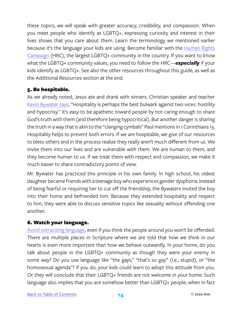these topics, we will speak with greater accuracy, credibility, and compassion. When you meet people who identify as LGBTQ+, expressing curiosity and interest in their lives shows that you care about them. Learn the terminology we mentioned earlier because it's the language your kids are using. Become familiar with the [Human Rights](https://www.hrc.org)  [Campaign](https://www.hrc.org) (HRC), the largest LGBTQ+ community in the country. If you want to know what the LGBTQ+ community values, you need to follow the HRC—*especially* if your kids identify as LGBTQ+. See also the other resources throughout this guide, as well as the Additional Resources section at the end.

#### 5. Be hospitable.

As we already noted, Jesus ate and drank with sinners. Christian speaker and teacher [Kevin Bywater says](https://www.oxfordstudycentre.org), "Hospitality is perhaps the best bulwark against two vices: hostility and hypocrisy." It's easy to be apathetic toward people by not caring enough to share God's truth with them (and therefore being hypocritical). But another danger is sharing the truth in a way that is akin to the "clanging cymbals" Paul mentions in 1 Corinthians 13. Hospitality helps to prevent both errors. If we are hospitable, we give of our resources to bless others and in the process realize they really aren't much different from us. We invite them into our lives and are vulnerable with them. We are human to them, and they become human to us. If we treat them with respect and compassion, we make it much easier to share contradictory points of view.

Mr. Bywater has practiced this principle in his own family. In high school, his oldest daughter became friends with a teenage boy who experiences gender dysphoria. Instead of being fearful or requiring her to cut off the friendship, the Bywaters invited the boy into their home and befriended him. Because they extended hospitality and respect to him, they were able to discuss sensitive topics like sexuality without offending one another.

#### 6. Watch your language.

[Avoid ostracizing language,](https://www.prestonsprinkle.com/blogs/theologyintheraw/2015/05/how-to-talk-about-homosexuality-6-things-every-straight-christian-should-know) even if you think the people around you won't be offended. There are multiple places in Scripture where we are told that how we think in our hearts is even more important than how we behave outwardly. In your home, do you talk about people in the LGBTQ+ community as though they were your enemy in some way? Do you use language like "the gays," "that's so gay" (i.e., stupid), or "the homosexual agenda"? If you do, your kids could learn to adopt this attitude from you. Or they will conclude that their LGBTQ+ friends are not welcome in your home. Such language also implies that you are somehow better than LGBTQ+ people, when in fact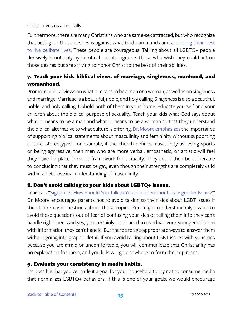Christ loves us all equally.

Furthermore, there are many Christians who are same-sex attracted, but who recognize that acting on those desires is against what God commands and [are doing their best](https://www.prestonsprinkle.com/blogs/theologyintheraw/2016/01/growing-up-gay-and-christian) [to live celibate lives.](https://www.prestonsprinkle.com/blogs/theologyintheraw/2016/01/growing-up-gay-and-christian) These people are courageous. Talking about all LGBTQ+ people derisively is not only hypocritical but also ignores those who wish they could act on those desires but are striving to honor Christ to the best of their abilities.

#### 7. Teach your kids biblical views of marriage, singleness, manhood, and womanhood.

Promote biblical views on what it means to be a man or a woman, as well as on singleness and marriage. Marriage is a beautiful, noble, and holy calling. Singleness is also a beautiful, noble, and holy calling. Uphold both of them in your home. Educate yourself and your children about the biblical purpose of sexuality. Teach your kids what God says about what it means to be a man and what it means to be a woman so that they understand the biblical alternative to what culture is offering. [Dr. Moore emphasizes](https://www.russellmoore.com/category/topics/sexuality-and-gender/) the importance of supporting biblical statements about masculinity and femininity without supporting cultural stereotypes. For example, if the church defines masculinity as loving sports or being aggressive, then men who are more verbal, empathetic, or artistic will feel they have no place in God's framework for sexuality. They could then be vulnerable to concluding that they must be gay, even though their strengths are completely valid within a heterosexual understanding of masculinity.

#### 8. Don't avoid talking to your kids about LGBTQ+ issues.

In his talk ["Signposts: How Should You Talk to Your Children about Transgender Issues?"](https://www.russellmoore.com/category/topics/sexuality-and-gender/) Dr. Moore encourages parents not to avoid talking to their kids about LGBT issues if the children ask questions about those topics. You might (understandably!) want to avoid these questions out of fear of confusing your kids or telling them info they can't handle right then. And yes, you certainly don't need to overload your younger children with information they can't handle. But there are age-appropriate ways to answer them without going into graphic detail. If you avoid talking about LGBT issues with your kids because you are afraid or uncomfortable, you will communicate that Christianity has no explanation for them, and you kids will go elsewhere to form their opinions.

#### 9. Evaluate your consistency in media habits.

It's possible that you've made it a goal for your household to try not to consume media that normalizes LGBTQ+ behaviors. If this is one of your goals, we would encourage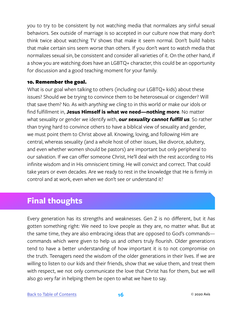<span id="page-18-0"></span>you to try to be consistent by not watching media that normalizes any sinful sexual behaviors. Sex outside of marriage is so accepted in our culture now that many don't think twice about watching TV shows that make it seem normal. Don't build habits that make certain sins seem worse than others. If you don't want to watch media that normalizes sexual sin, be consistent and consider all varieties of it. On the other hand, if a show you are watching does have an LGBTQ+ character, this could be an opportunity for discussion and a good teaching moment for your family.

#### 10. Remember the goal.

What is our goal when talking to others (including our LGBTQ+ kids) about these issues? Should we be trying to convince them to be heterosexual or cisgender? Will that save them? No. As with *anything* we cling to in this world or make our idols or find fulfillment in, **Jesus Himself is what we need—nothing more**. No matter what sexuality or gender we identify with, *our sexuality cannot fulfill us*. So rather than trying hard to convince others to have a biblical view of sexuality and gender, we must point them to Christ above all. Knowing, loving, and following Him are central, whereas sexuality (and a whole host of other issues, like divorce, adultery, and even whether women should be pastors) are important but only peripheral to our salvation. If we can offer someone Christ, He'll deal with the rest according to His infinite wisdom and in His omniscient timing. He will convict and correct. That could take years or even decades. Are we ready to rest in the knowledge that He is firmly in control and at work, even when we don't see or understand it?

### **Final thoughts**

Every generation has its strengths and weaknesses. Gen Z is no different, but it *has* gotten something right: We need to love people as they are, no matter what. But at the same time, they are also embracing ideas that are opposed to God's commands commands which were given to help us and others truly flourish. Older generations tend to have a better understanding of how important it is to not compromise on the truth. Teenagers need the wisdom of the older generations in their lives. If we are willing to listen to our kids and their friends, show that we value them, and treat them with respect, we not only communicate the love that Christ has for them, but we will also go very far in helping them be open to what we have to say.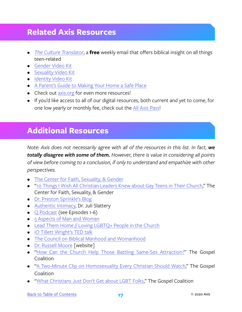### <span id="page-19-0"></span>**Related Axis Resources**

- *• [The Culture Translator](http://axis.org/ct)*, a **free** weekly email that offers biblical insight on all things teen-related
- [Gender Video Kit](https://axis.org/product/gender/)
- [Sexuality Video Kit](https://axis.org/product/sexuality-video-kit/)
- [Identity Video Kit](https://axis.org/product/identity/)
- [A Parent's Guide to](https://axis.org/product/membership-product-for-making-your-home-a-safe-place/) Making Your Home a Safe Place
- Check out [axis.org](https://axis.org) for even more resources!
- If you'd like access to all of our digital resources, both current and yet to come, for one low yearly or monthly fee, check out the [All Axis Pass](https://axis.org/aap)!

# **Additional Resources**

*Note: Axis does not necessarily agree with all of the resources in this list. In fact, we totally disagree with some of them. However, there is value in considering all points of view before coming to a conclusion, if only to understand and empathize with other perspectives.* 

- [The Center for Faith, Sexuality, & Gender](https://centerforfaith.com)
- ["10 Things I Wish All Christian Leaders Knew about Gay Teens in Their Church](http://centerforfaith.com/blog/10-things-i-wish-all-christian-leaders-knew-about-gay-teens-in-their-church)," The Center for Faith, Sexuality, & Gender
- [Dr. Preston Sprinkle's Blog](https://www.prestonsprinkle.com/blog/)
- [Authentic Intimacy,](https://www.authenticintimacy.com) Dr. Juli Slattery
- [Q Podcast](http://qpodcast.libsyn.com) (see Episodes 1-6)
- [5 Aspects of Man and Woman](http://fiveaspects.net)
- [Lead Them Home // Loving LGBTQ+ People in the Church](https://www.leadthemhome.org)
- [iO Tillett Wright's TED talk](https://www.youtube.com/watch?v=VAJ-5J21Rd0)
- [The Council on Biblical Manhood and Womanhood](https://cbmw.org)
- [Dr. Russell Moore](https://www.russellmoore.com/category/topics/sexuality-and-gender/) [website]
- ["How Can the Church Help Those Battling Same-Sex Attraction?](https://www.thegospelcoalition.org/article/how-can-church-help-battle-same-sex-attraction/)" The Gospel Coalition
- ["A Two-Minute Clip on Homosexuality Every Christian Should Watch](https://www.thegospelcoalition.org/article/two-minute-clip-homosexuality-every-christian-should-watch/)," The Gospel Coalition
- ["What Christians Just Don't Get about LGBT Folks,](https://www.thegospelcoalition.org/article/what-christians-just-dont-get-about-lgbt-folks/)" The Gospel Coalition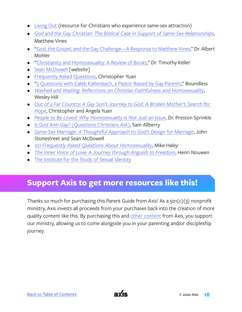- [Living Out](http://www.livingout.org) (resource for Christians who experience same-sex attraction)
- *• [God and the Gay Christian: The Biblical Case in Support of Same-Sex Relationships](https://www.amazon.com/God-Gay-Christian-Biblical-Relationships/dp/160142518X/ref=sr_1_1?s=books&ie=UTF8&qid=1524861155&sr=1-1&keywords=god+and+the+gay+christian+by+matthew+vines)*, Matthew Vines
- ["God, the Gospel, and the Gay Challenge—A Response to Matthew Vines](https://albertmohler.com/2014/04/22/god-the-gospel-and-the-gay-challenge-a-response-to-matthew-vines/)," Dr. Albert Mohler
- ["Christianity and Homosexuality: A Review of Books,](http://www.timothykeller.com/blog/2013/10/4/christianity-and-homosexuality-a-review-of-books)" Dr. Timothy Keller
- [Sean McDowell](http://seanmcdowell.org/category/homosexuality) [website]
- [Frequently Asked Questions](http://www.christopheryuan.com/mobile/faqs.html), Christopher Yuan
- "<sub>5</sub> Questions with Caleb Kaltenbach, a Pastor Raised by Gay Parents," Boundless
- *• [Washed and Waiting: Reflections on Christian Faithfulness and Homosexuality](https://www.amazon.com/Washed-Waiting-Reflections-Faithfulness-Homosexuality/dp/0310534194)*, Wesley Hill
- *• [Out of a Far Country: A Gay Son's Journey to God. A Broken Mother's Search for](https://www.amazon.com/Out-Far-Country-Journey-Mothers/dp/0307729354/ref=sr_1_3)  [Hope](https://www.amazon.com/Out-Far-Country-Journey-Mothers/dp/0307729354/ref=sr_1_3)*, Christopher and Angela Yuan
- *• [People to Be Loved: Why Homosexuality Is Not Just an Issue](https://www.amazon.com/People-Be-Loved-Homosexuality-Issue/dp/0310519659/ref=sr_1_1)*, Dr. Preston Sprinkle
- *• [Is God Anti-Gay? \(Questions Christians Ask\)](https://www.amazon.com/God-anti-gay-Questions-Christians-Ask/dp/1908762314/ref=sr_1_1_sspa)*, Sam Allberry
- *• [Same-Sex Marriage: A Thoughtful Approach to God's Design for Marriage](https://www.amazon.com/Same-Sex-Marriage-Thoughtful-Approach-Response/dp/080101834X)*, John Stonestreet and Sean McDowell
- *• [101 Frequently Asked Questions About Homosexuality](https://www.amazon.com/Frequently-Asked-Questions-About-Homosexuality/dp/0736914706)*, Mike Haley
- *• [The Inner Voice of Love: A Journey through Anguish to Freedom](https://www.amazon.com/Inner-Voice-Love-Journey-Through/dp/0385483481)*, Henri Nouwen
- [The Institute for the Study of Sexual Identity](http://sexualidentityinstitute.org)

# **Support Axis to get more resources like this!**

Thanks so much for purchasing this Parent Guide from Axis! As a 501(c)(3) nonprofit ministry, Axis invests all proceeds from your purchases back into the creation of more quality content like this. By purchasing this and [other content](https://axis.org) from Axis, you support our ministry, allowing us to come alongside you in your parenting and/or discipleship journey.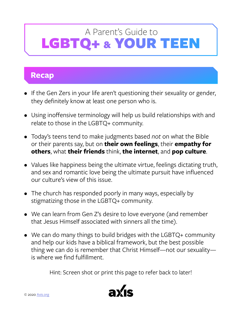# <span id="page-21-0"></span>**Recap**

- If the Gen Zers in your life aren't questioning their sexuality or gender, they definitely know at least one person who is.
- Using inoffensive terminology will help us build relationships with and relate to those in the LGBTQ+ community.
- Today's teens tend to make judgments based *not* on what the Bible or their parents say, but on **their own feelings**, their **empathy for others**, what **their friends** think, **the internet**, and **pop culture**.
- Values like happiness being the ultimate virtue, feelings dictating truth, and sex and romantic love being the ultimate pursuit have influenced our culture's view of this issue.
- The church has responded poorly in many ways, especially by stigmatizing those in the LGBTQ+ community.
- We can learn from Gen Z's desire to love everyone (and remember that Jesus Himself associated with sinners all the time).
- We can do many things to build bridges with the LGBTQ+ community and help our kids have a biblical framework, but the best possible thing we can do is remember that Christ Himself—not our sexuality is where we find fulfillment.

Hint: Screen shot or print this page to refer back to later!

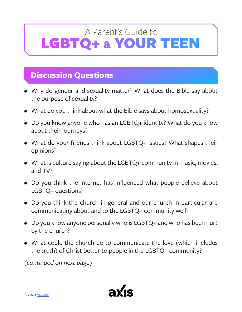# <span id="page-22-0"></span>**Discussion Questions**

- Why do gender and sexuality matter? What does the Bible say about the purpose of sexuality?
- What do you think about what the Bible says about homosexuality?
- Do you know anyone who has an LGBTQ+ identity? What do you know about their journeys?
- What do your friends think about LGBTQ+ issues? What shapes their opinions?
- What is culture saying about the LGBTQ+ community in music, movies, and TV?
- Do you think the internet has influenced what people believe about LGBTQ+ questions?
- Do you think the church in general and our church in particular are communicating about and to the LGBTQ+ community well?
- Do you know anyone personally who is LGBTQ+ and who has been hurt by the church?
- What could the church do to communicate the love (which includes the truth) of Christ better to people in the LGBTQ+ community?

*(continued on next page)*